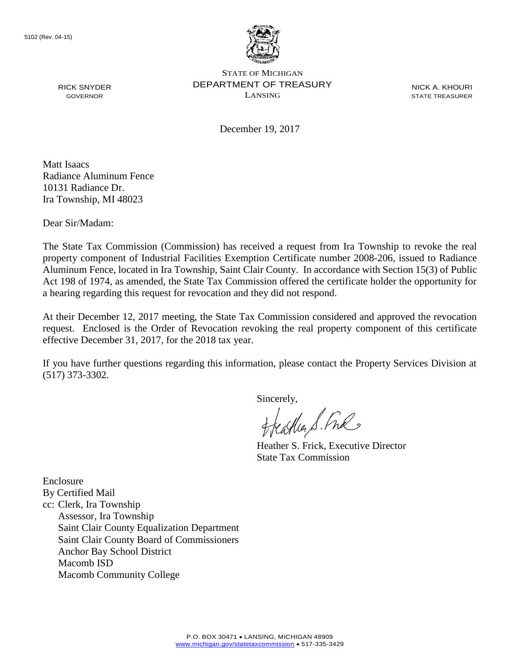

STATE OF MICHIGAN DEPARTMENT OF TREASURY LANSING

NICK A. KHOURI STATE TREASURER

December 19, 2017

Matt Isaacs Radiance Aluminum Fence 10131 Radiance Dr. Ira Township, MI 48023

Dear Sir/Madam:

RICK SNYDER GOVERNOR

The State Tax Commission (Commission) has received a request from Ira Township to revoke the real property component of Industrial Facilities Exemption Certificate number 2008-206, issued to Radiance Aluminum Fence, located in Ira Township, Saint Clair County. In accordance with Section 15(3) of Public Act 198 of 1974, as amended, the State Tax Commission offered the certificate holder the opportunity for a hearing regarding this request for revocation and they did not respond.

At their December 12, 2017 meeting, the State Tax Commission considered and approved the revocation request. Enclosed is the Order of Revocation revoking the real property component of this certificate effective December 31, 2017, for the 2018 tax year.

If you have further questions regarding this information, please contact the Property Services Division at (517) 373-3302.

Sincerely,

eagher S. Free

Heather S. Frick, Executive Director State Tax Commission

Enclosure By Certified Mail cc: Clerk, Ira Township Assessor, Ira Township Saint Clair County Equalization Department Saint Clair County Board of Commissioners Anchor Bay School District Macomb ISD Macomb Community College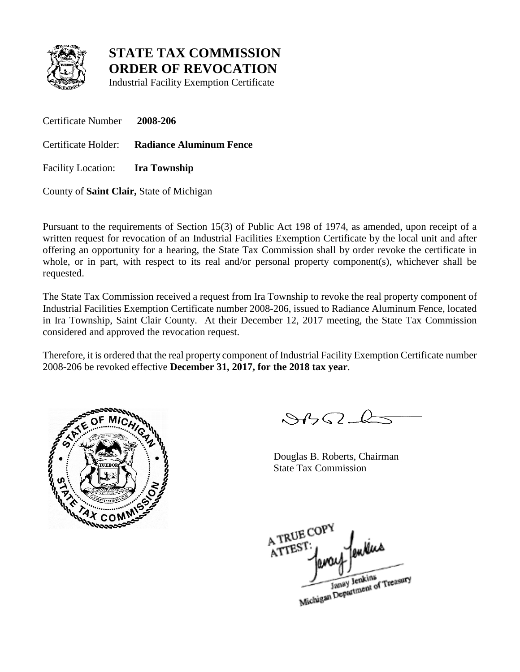

**STATE TAX COMMISSION ORDER OF REVOCATION**

Industrial Facility Exemption Certificate

Certificate Number **2008-206** Certificate Holder: **Radiance Aluminum Fence** Facility Location: **Ira Township**

County of **Saint Clair,** State of Michigan

Pursuant to the requirements of Section 15(3) of Public Act 198 of 1974, as amended, upon receipt of a written request for revocation of an Industrial Facilities Exemption Certificate by the local unit and after offering an opportunity for a hearing, the State Tax Commission shall by order revoke the certificate in whole, or in part, with respect to its real and/or personal property component(s), whichever shall be requested.

The State Tax Commission received a request from Ira Township to revoke the real property component of Industrial Facilities Exemption Certificate number 2008-206, issued to Radiance Aluminum Fence, located in Ira Township, Saint Clair County. At their December 12, 2017 meeting, the State Tax Commission considered and approved the revocation request.

Therefore, it is ordered that the real property component of Industrial Facility Exemption Certificate number 2008-206 be revoked effective **December 31, 2017, for the 2018 tax year**.



 $8452 - 6$ 

Douglas B. Roberts, Chairman State Tax Commission

A TRUE COP A TREST

Janay Jenkins<br>Michigan Department of Treasury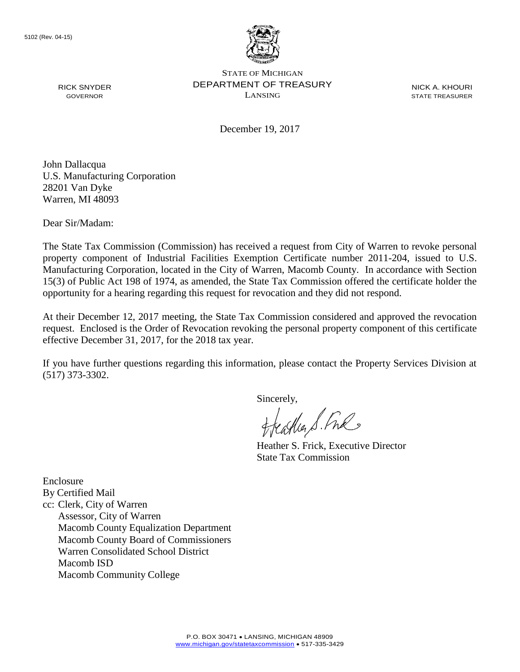

STATE OF MICHIGAN DEPARTMENT OF TREASURY LANSING

NICK A. KHOURI STATE TREASURER

December 19, 2017

John Dallacqua U.S. Manufacturing Corporation 28201 Van Dyke Warren, MI 48093

Dear Sir/Madam:

RICK SNYDER GOVERNOR

The State Tax Commission (Commission) has received a request from City of Warren to revoke personal property component of Industrial Facilities Exemption Certificate number 2011-204, issued to U.S. Manufacturing Corporation, located in the City of Warren, Macomb County. In accordance with Section 15(3) of Public Act 198 of 1974, as amended, the State Tax Commission offered the certificate holder the opportunity for a hearing regarding this request for revocation and they did not respond.

At their December 12, 2017 meeting, the State Tax Commission considered and approved the revocation request. Enclosed is the Order of Revocation revoking the personal property component of this certificate effective December 31, 2017, for the 2018 tax year.

If you have further questions regarding this information, please contact the Property Services Division at (517) 373-3302.

Sincerely,

eagher S. Free

Heather S. Frick, Executive Director State Tax Commission

Enclosure By Certified Mail cc: Clerk, City of Warren Assessor, City of Warren Macomb County Equalization Department Macomb County Board of Commissioners Warren Consolidated School District Macomb ISD Macomb Community College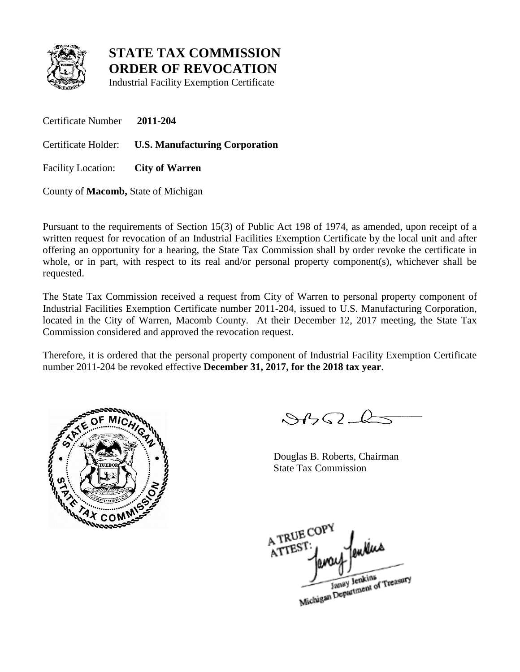

**STATE TAX COMMISSION ORDER OF REVOCATION**

Industrial Facility Exemption Certificate

Certificate Number **2011-204**

Certificate Holder: **U.S. Manufacturing Corporation**

Facility Location: **City of Warren**

County of **Macomb,** State of Michigan

Pursuant to the requirements of Section 15(3) of Public Act 198 of 1974, as amended, upon receipt of a written request for revocation of an Industrial Facilities Exemption Certificate by the local unit and after offering an opportunity for a hearing, the State Tax Commission shall by order revoke the certificate in whole, or in part, with respect to its real and/or personal property component(s), whichever shall be requested.

The State Tax Commission received a request from City of Warren to personal property component of Industrial Facilities Exemption Certificate number 2011-204, issued to U.S. Manufacturing Corporation, located in the City of Warren, Macomb County. At their December 12, 2017 meeting, the State Tax Commission considered and approved the revocation request.

Therefore, it is ordered that the personal property component of Industrial Facility Exemption Certificate number 2011-204 be revoked effective **December 31, 2017, for the 2018 tax year**.



 $882 - 6$ 

Douglas B. Roberts, Chairman State Tax Commission

A TRUE COP A TREST

Janay Jenkins<br>Michigan Department of Treasury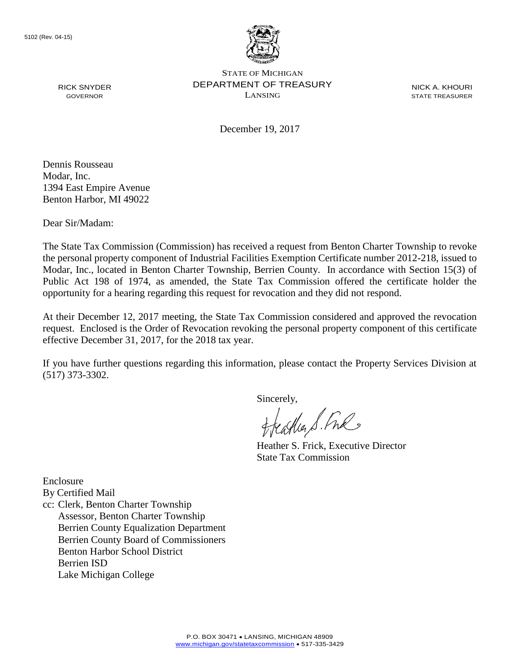

STATE OF MICHIGAN DEPARTMENT OF TREASURY LANSING

NICK A. KHOURI STATE TREASURER

December 19, 2017

GOVERNOR

RICK SNYDER

Dennis Rousseau Modar, Inc. 1394 East Empire Avenue Benton Harbor, MI 49022

Dear Sir/Madam:

The State Tax Commission (Commission) has received a request from Benton Charter Township to revoke the personal property component of Industrial Facilities Exemption Certificate number 2012-218, issued to Modar, Inc., located in Benton Charter Township, Berrien County. In accordance with Section 15(3) of Public Act 198 of 1974, as amended, the State Tax Commission offered the certificate holder the opportunity for a hearing regarding this request for revocation and they did not respond.

At their December 12, 2017 meeting, the State Tax Commission considered and approved the revocation request. Enclosed is the Order of Revocation revoking the personal property component of this certificate effective December 31, 2017, for the 2018 tax year.

If you have further questions regarding this information, please contact the Property Services Division at (517) 373-3302.

Sincerely,

treastles S. Fre

Heather S. Frick, Executive Director State Tax Commission

Enclosure

By Certified Mail

cc: Clerk, Benton Charter Township Assessor, Benton Charter Township Berrien County Equalization Department Berrien County Board of Commissioners Benton Harbor School District Berrien ISD Lake Michigan College